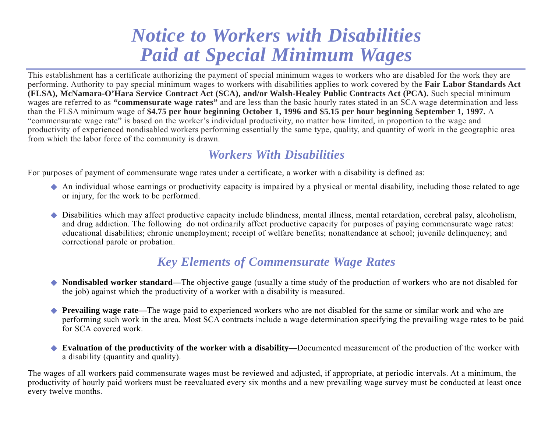# *Notice to Workers with Disabilities Paid at Special Minimum Wages*

This establishment has a certificate authorizing the payment of special minimum wages to workers who are disabled for the work they are performing. Authority to pay special minimum wages to workers with disabilities applies to work covered by the **Fair Labor Standards Act (FLSA), McNamara-O'Hara Service Contract Act (SCA), and/or Walsh-Healey Public Contracts Act (PCA).** Such special minimum wages are referred to as **"commensurate wage rates"** and are less than the basic hourly rates stated in an SCA wage determination and less than the FLSA minimum wage of **\$4.75 per hour beginning October 1, 1996 and \$5.15 per hour beginning September 1, 1997.** A "commensurate wage rate" is based on the worker's individual productivity, no matter how limited, in proportion to the wage and productivity of experienced nondisabled workers performing essentially the same type, quality, and quantity of work in the geographic area from which the labor force of the community is drawn.

#### *Workers With Disabilities*

For purposes of payment of commensurate wage rates under a certificate, a worker with a disability is defined as:

- $\blacklozenge$  An individual whose earnings or productivity capacity is impaired by a physical or mental disability, including those related to age or injury, for the work to be performed.
- ◆ Disabilities which may affect productive capacity include blindness, mental illness, mental retardation, cerebral palsy, alcoholism, and drug addiction. The following do not ordinarily affect productive capacity for purposes of paying commensurate wage rates: educational disabilities; chronic unemployment; receipt of welfare benefits; nonattendance at school; juvenile delinquency; and correctional parole or probation.

## *Key Elements of Commensurate Wage Rates*

- ◆ **Nondisabled worker standard—**The objective gauge (usually a time study of the production of workers who are not disabled for the job) against which the productivity of a worker with a disability is measured.
- ◆ **Prevailing wage rate—**The wage paid to experienced workers who are not disabled for the same or similar work and who are performing such work in the area. Most SCA contracts include a wage determination specifying the prevailing wage rates to be paid for SCA covered work.
- ◆ **Evaluation of the productivity of the worker with a disability—Documented measurement of the production of the worker with** a disability (quantity and quality).

The wages of all workers paid commensurate wages must be reviewed and adjusted, if appropriate, at periodic intervals. At a minimum, the productivity of hourly paid workers must be reevaluated every six months and a new prevailing wage survey must be conducted at least once every twelve months.